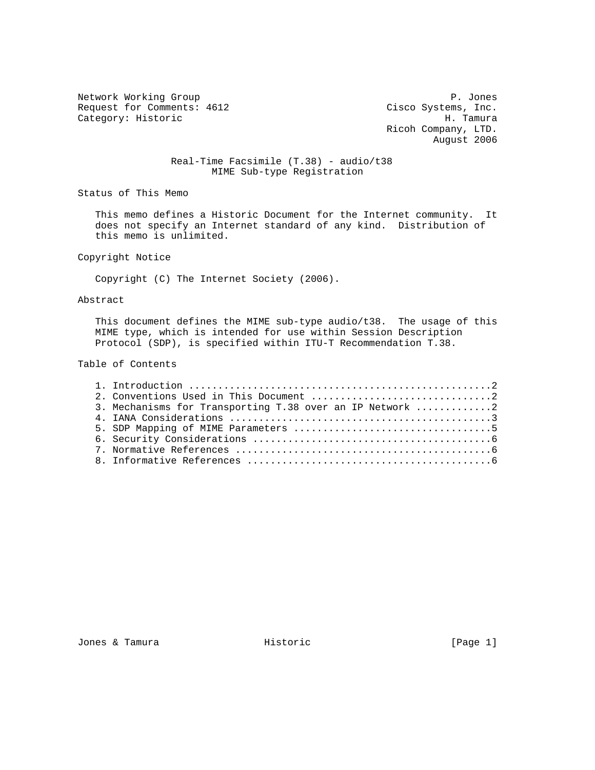Network Working Group<br>Request for Comments: 4612 (and Cisco Systems, Inc. Request for Comments: 4612 Cisco Systems, Inc.<br>Category: Historic Mategory: Historic Category: Historic

 Ricoh Company, LTD. August 2006

## Real-Time Facsimile (T.38) - audio/t38 MIME Sub-type Registration

Status of This Memo

 This memo defines a Historic Document for the Internet community. It does not specify an Internet standard of any kind. Distribution of this memo is unlimited.

Copyright Notice

Copyright (C) The Internet Society (2006).

### Abstract

 This document defines the MIME sub-type audio/t38. The usage of this MIME type, which is intended for use within Session Description Protocol (SDP), is specified within ITU-T Recommendation T.38.

#### Table of Contents

| 3. Mechanisms for Transporting T.38 over an IP Network 2 |  |
|----------------------------------------------------------|--|
|                                                          |  |
|                                                          |  |
|                                                          |  |
|                                                          |  |
|                                                          |  |

Jones & Tamura **Historic** Historic [Page 1]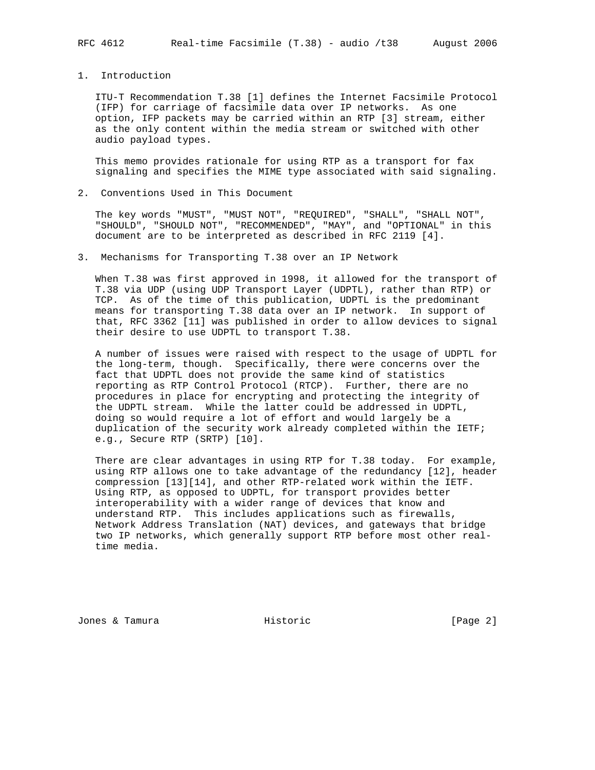# 1. Introduction

 ITU-T Recommendation T.38 [1] defines the Internet Facsimile Protocol (IFP) for carriage of facsimile data over IP networks. As one option, IFP packets may be carried within an RTP [3] stream, either as the only content within the media stream or switched with other audio payload types.

 This memo provides rationale for using RTP as a transport for fax signaling and specifies the MIME type associated with said signaling.

2. Conventions Used in This Document

 The key words "MUST", "MUST NOT", "REQUIRED", "SHALL", "SHALL NOT", "SHOULD", "SHOULD NOT", "RECOMMENDED", "MAY", and "OPTIONAL" in this document are to be interpreted as described in RFC 2119 [4].

3. Mechanisms for Transporting T.38 over an IP Network

 When T.38 was first approved in 1998, it allowed for the transport of T.38 via UDP (using UDP Transport Layer (UDPTL), rather than RTP) or TCP. As of the time of this publication, UDPTL is the predominant means for transporting T.38 data over an IP network. In support of that, RFC 3362 [11] was published in order to allow devices to signal their desire to use UDPTL to transport T.38.

 A number of issues were raised with respect to the usage of UDPTL for the long-term, though. Specifically, there were concerns over the fact that UDPTL does not provide the same kind of statistics reporting as RTP Control Protocol (RTCP). Further, there are no procedures in place for encrypting and protecting the integrity of the UDPTL stream. While the latter could be addressed in UDPTL, doing so would require a lot of effort and would largely be a duplication of the security work already completed within the IETF; e.g., Secure RTP (SRTP) [10].

 There are clear advantages in using RTP for T.38 today. For example, using RTP allows one to take advantage of the redundancy [12], header compression [13][14], and other RTP-related work within the IETF. Using RTP, as opposed to UDPTL, for transport provides better interoperability with a wider range of devices that know and understand RTP. This includes applications such as firewalls, Network Address Translation (NAT) devices, and gateways that bridge two IP networks, which generally support RTP before most other real time media.

Jones & Tamura Historic [Page 2]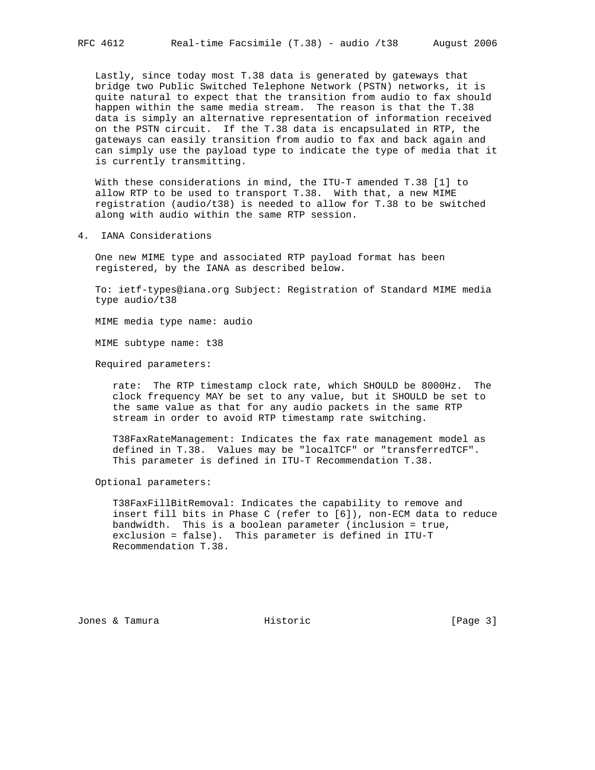Lastly, since today most T.38 data is generated by gateways that bridge two Public Switched Telephone Network (PSTN) networks, it is quite natural to expect that the transition from audio to fax should happen within the same media stream. The reason is that the T.38 data is simply an alternative representation of information received on the PSTN circuit. If the T.38 data is encapsulated in RTP, the gateways can easily transition from audio to fax and back again and can simply use the payload type to indicate the type of media that it is currently transmitting.

 With these considerations in mind, the ITU-T amended T.38 [1] to allow RTP to be used to transport T.38. With that, a new MIME registration (audio/t38) is needed to allow for T.38 to be switched along with audio within the same RTP session.

4. IANA Considerations

 One new MIME type and associated RTP payload format has been registered, by the IANA as described below.

 To: ietf-types@iana.org Subject: Registration of Standard MIME media type audio/t38

MIME media type name: audio

MIME subtype name: t38

Required parameters:

 rate: The RTP timestamp clock rate, which SHOULD be 8000Hz. The clock frequency MAY be set to any value, but it SHOULD be set to the same value as that for any audio packets in the same RTP stream in order to avoid RTP timestamp rate switching.

 T38FaxRateManagement: Indicates the fax rate management model as defined in T.38. Values may be "localTCF" or "transferredTCF". This parameter is defined in ITU-T Recommendation T.38.

Optional parameters:

 T38FaxFillBitRemoval: Indicates the capability to remove and insert fill bits in Phase C (refer to [6]), non-ECM data to reduce bandwidth. This is a boolean parameter (inclusion = true, exclusion = false). This parameter is defined in ITU-T Recommendation T.38.

Jones & Tamura Historic [Page 3]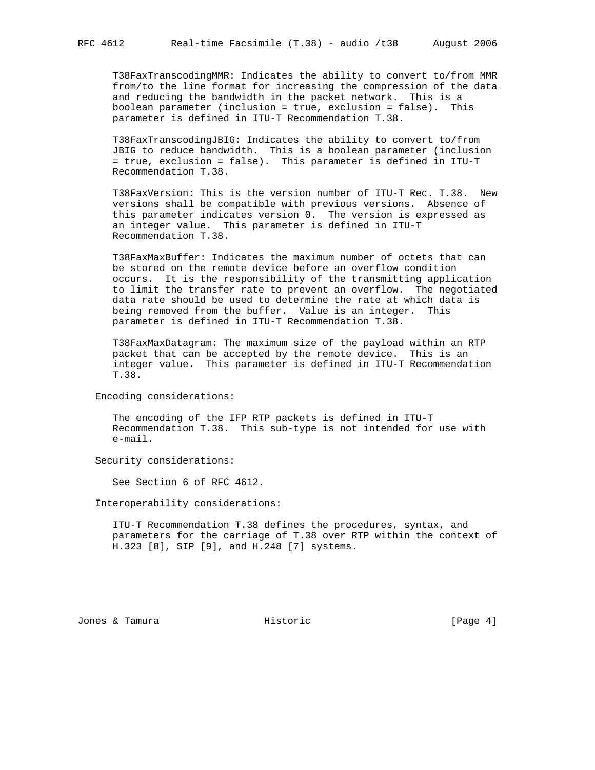T38FaxTranscodingMMR: Indicates the ability to convert to/from MMR from/to the line format for increasing the compression of the data and reducing the bandwidth in the packet network. This is a boolean parameter (inclusion = true, exclusion = false). This parameter is defined in ITU-T Recommendation T.38.

 T38FaxTranscodingJBIG: Indicates the ability to convert to/from JBIG to reduce bandwidth. This is a boolean parameter (inclusion = true, exclusion = false). This parameter is defined in ITU-T Recommendation T.38.

 T38FaxVersion: This is the version number of ITU-T Rec. T.38. New versions shall be compatible with previous versions. Absence of this parameter indicates version 0. The version is expressed as an integer value. This parameter is defined in ITU-T Recommendation T.38.

 T38FaxMaxBuffer: Indicates the maximum number of octets that can be stored on the remote device before an overflow condition occurs. It is the responsibility of the transmitting application to limit the transfer rate to prevent an overflow. The negotiated data rate should be used to determine the rate at which data is being removed from the buffer. Value is an integer. This parameter is defined in ITU-T Recommendation T.38.

 T38FaxMaxDatagram: The maximum size of the payload within an RTP packet that can be accepted by the remote device. This is an integer value. This parameter is defined in ITU-T Recommendation T.38.

Encoding considerations:

 The encoding of the IFP RTP packets is defined in ITU-T Recommendation T.38. This sub-type is not intended for use with e-mail.

Security considerations:

See Section 6 of RFC 4612.

Interoperability considerations:

 ITU-T Recommendation T.38 defines the procedures, syntax, and parameters for the carriage of T.38 over RTP within the context of H.323 [8], SIP [9], and H.248 [7] systems.

Jones & Tamura Historic [Page 4]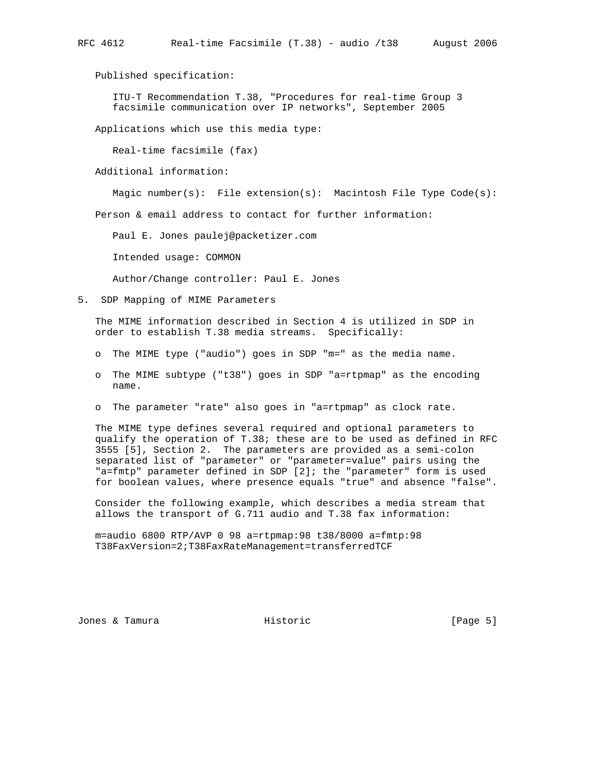Published specification:

 ITU-T Recommendation T.38, "Procedures for real-time Group 3 facsimile communication over IP networks", September 2005

Applications which use this media type:

Real-time facsimile (fax)

Additional information:

Magic number(s): File extension(s): Macintosh File Type Code(s):

Person & email address to contact for further information:

Paul E. Jones paulej@packetizer.com

Intended usage: COMMON

Author/Change controller: Paul E. Jones

5. SDP Mapping of MIME Parameters

 The MIME information described in Section 4 is utilized in SDP in order to establish T.38 media streams. Specifically:

- o The MIME type ("audio") goes in SDP "m=" as the media name.
- o The MIME subtype ("t38") goes in SDP "a=rtpmap" as the encoding name.
- o The parameter "rate" also goes in "a=rtpmap" as clock rate.

 The MIME type defines several required and optional parameters to qualify the operation of T.38; these are to be used as defined in RFC 3555 [5], Section 2. The parameters are provided as a semi-colon separated list of "parameter" or "parameter=value" pairs using the "a=fmtp" parameter defined in SDP [2]; the "parameter" form is used for boolean values, where presence equals "true" and absence "false".

 Consider the following example, which describes a media stream that allows the transport of G.711 audio and T.38 fax information:

 m=audio 6800 RTP/AVP 0 98 a=rtpmap:98 t38/8000 a=fmtp:98 T38FaxVersion=2;T38FaxRateManagement=transferredTCF

Jones & Tamura Historic [Page 5]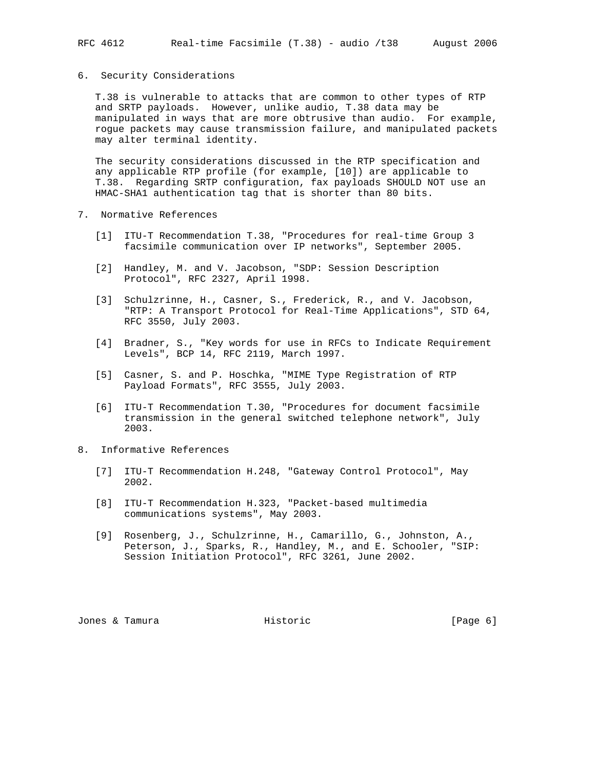#### 6. Security Considerations

 T.38 is vulnerable to attacks that are common to other types of RTP and SRTP payloads. However, unlike audio, T.38 data may be manipulated in ways that are more obtrusive than audio. For example, rogue packets may cause transmission failure, and manipulated packets may alter terminal identity.

 The security considerations discussed in the RTP specification and any applicable RTP profile (for example, [10]) are applicable to T.38. Regarding SRTP configuration, fax payloads SHOULD NOT use an HMAC-SHA1 authentication tag that is shorter than 80 bits.

- 7. Normative References
	- [1] ITU-T Recommendation T.38, "Procedures for real-time Group 3 facsimile communication over IP networks", September 2005.
	- [2] Handley, M. and V. Jacobson, "SDP: Session Description Protocol", RFC 2327, April 1998.
	- [3] Schulzrinne, H., Casner, S., Frederick, R., and V. Jacobson, "RTP: A Transport Protocol for Real-Time Applications", STD 64, RFC 3550, July 2003.
	- [4] Bradner, S., "Key words for use in RFCs to Indicate Requirement Levels", BCP 14, RFC 2119, March 1997.
	- [5] Casner, S. and P. Hoschka, "MIME Type Registration of RTP Payload Formats", RFC 3555, July 2003.
	- [6] ITU-T Recommendation T.30, "Procedures for document facsimile transmission in the general switched telephone network", July 2003.
- 8. Informative References
	- [7] ITU-T Recommendation H.248, "Gateway Control Protocol", May 2002.
	- [8] ITU-T Recommendation H.323, "Packet-based multimedia communications systems", May 2003.
	- [9] Rosenberg, J., Schulzrinne, H., Camarillo, G., Johnston, A., Peterson, J., Sparks, R., Handley, M., and E. Schooler, "SIP: Session Initiation Protocol", RFC 3261, June 2002.

Jones & Tamura Historic [Page 6]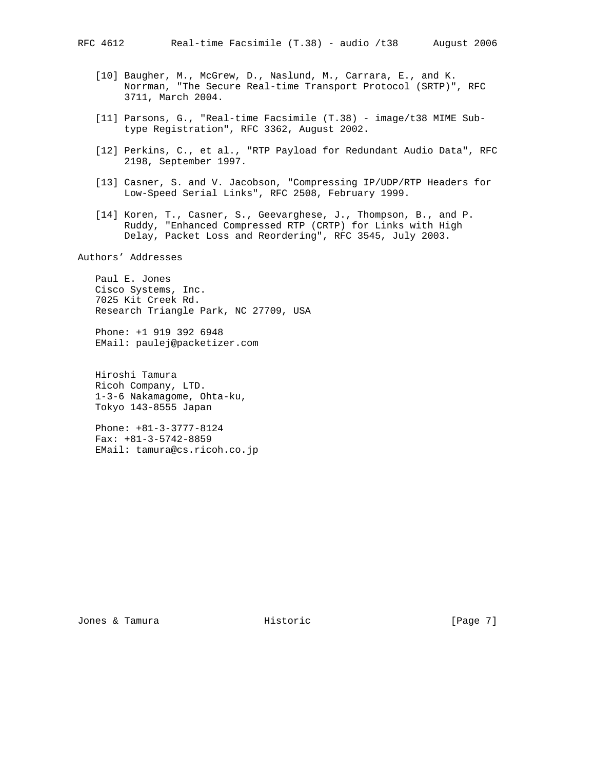- [10] Baugher, M., McGrew, D., Naslund, M., Carrara, E., and K.
	- Norrman, "The Secure Real-time Transport Protocol (SRTP)", RFC 3711, March 2004.
- [11] Parsons, G., "Real-time Facsimile (T.38) image/t38 MIME Sub type Registration", RFC 3362, August 2002.
- [12] Perkins, C., et al., "RTP Payload for Redundant Audio Data", RFC 2198, September 1997.
- [13] Casner, S. and V. Jacobson, "Compressing IP/UDP/RTP Headers for Low-Speed Serial Links", RFC 2508, February 1999.
- [14] Koren, T., Casner, S., Geevarghese, J., Thompson, B., and P. Ruddy, "Enhanced Compressed RTP (CRTP) for Links with High Delay, Packet Loss and Reordering", RFC 3545, July 2003.

Authors' Addresses

 Paul E. Jones Cisco Systems, Inc. 7025 Kit Creek Rd. Research Triangle Park, NC 27709, USA

 Phone: +1 919 392 6948 EMail: paulej@packetizer.com

 Hiroshi Tamura Ricoh Company, LTD. 1-3-6 Nakamagome, Ohta-ku, Tokyo 143-8555 Japan

 Phone: +81-3-3777-8124 Fax: +81-3-5742-8859 EMail: tamura@cs.ricoh.co.jp

Jones & Tamura Historic [Page 7]